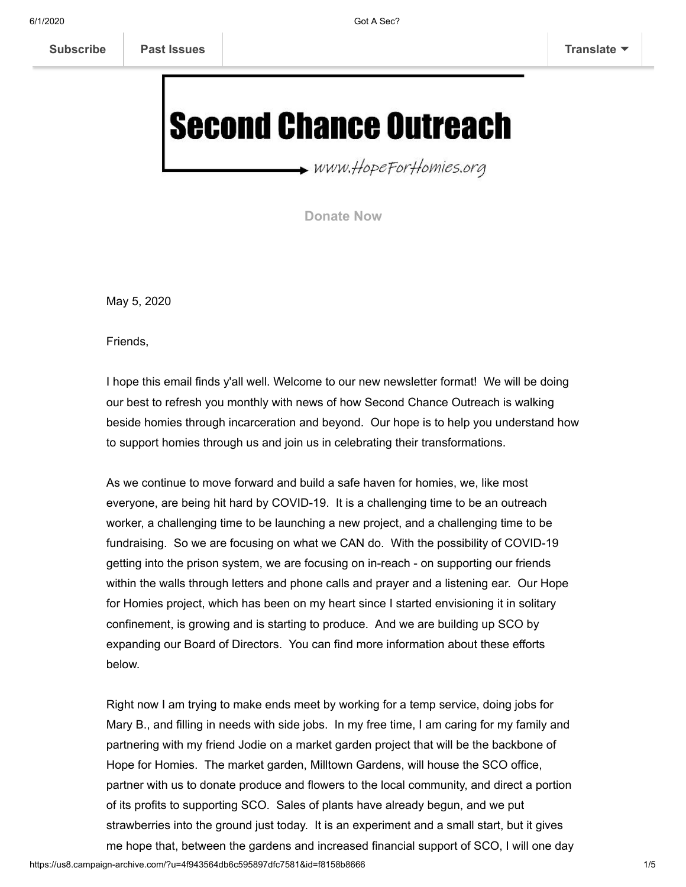# **Second Chance Outreach**

www.HopeForHomies.org

**[Donate Now](https://www.hopeforhomies.org/how-you-can-help)**

May 5, 2020

Friends,

I hope this email finds y'all well. Welcome to our new newsletter format! We will be doing our best to refresh you monthly with news of how Second Chance Outreach is walking beside homies through incarceration and beyond. Our hope is to help you understand how to support homies through us and join us in celebrating their transformations.

As we continue to move forward and build a safe haven for homies, we, like most everyone, are being hit hard by COVID-19. It is a challenging time to be an outreach worker, a challenging time to be launching a new project, and a challenging time to be fundraising. So we are focusing on what we CAN do. With the possibility of COVID-19 getting into the prison system, we are focusing on in-reach - on supporting our friends within the walls through letters and phone calls and prayer and a listening ear. Our Hope for Homies project, which has been on my heart since I started envisioning it in solitary confinement, is growing and is starting to produce. And we are building up SCO by expanding our Board of Directors. You can find more information about these efforts below.

Right now I am trying to make ends meet by working for a temp service, doing jobs for Mary B., and filling in needs with side jobs. In my free time, I am caring for my family and partnering with my friend Jodie on a market garden project that will be the backbone of Hope for Homies. The market garden, Milltown Gardens, will house the SCO office, partner with us to donate produce and flowers to the local community, and direct a portion of its profits to supporting SCO. Sales of plants have already begun, and we put strawberries into the ground just today. It is an experiment and a small start, but it gives me hope that, between the gardens and increased financial support of SCO, I will one day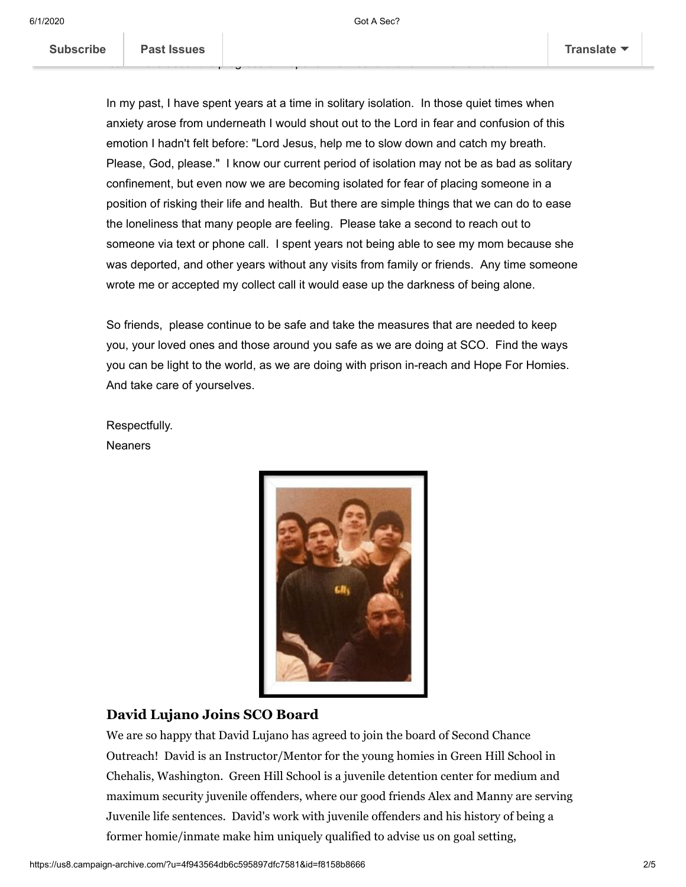In my past, I have spent years at a time in solitary isolation. In those quiet times when anxiety arose from underneath I would shout out to the Lord in fear and confusion of this emotion I hadn't felt before: "Lord Jesus, help me to slow down and catch my breath. Please, God, please." I know our current period of isolation may not be as bad as solitary confinement, but even now we are becoming isolated for fear of placing someone in a position of risking their life and health. But there are simple things that we can do to ease the loneliness that many people are feeling. Please take a second to reach out to someone via text or phone call. I spent years not being able to see my mom because she was deported, and other years without any visits from family or friends. Any time someone wrote me or accepted my collect call it would ease up the darkness of being alone.

So friends, please continue to be safe and take the measures that are needed to keep you, your loved ones and those around you safe as we are doing at SCO. Find the ways you can be light to the world, as we are doing with prison in-reach and Hope For Homies. And take care of yourselves.

Respectfully. **Neaners** 



#### **David Lujano Joins SCO Board**

We are so happy that David Lujano has agreed to join the board of Second Chance Outreach! David is an Instructor/Mentor for the young homies in Green Hill School in Chehalis, Washington. Green Hill School is a juvenile detention center for medium and maximum security juvenile offenders, where our good friends Alex and Manny are serving Juvenile life sentences. David's work with juvenile offenders and his history of being a former homie/inmate make him uniquely qualified to advise us on goal setting,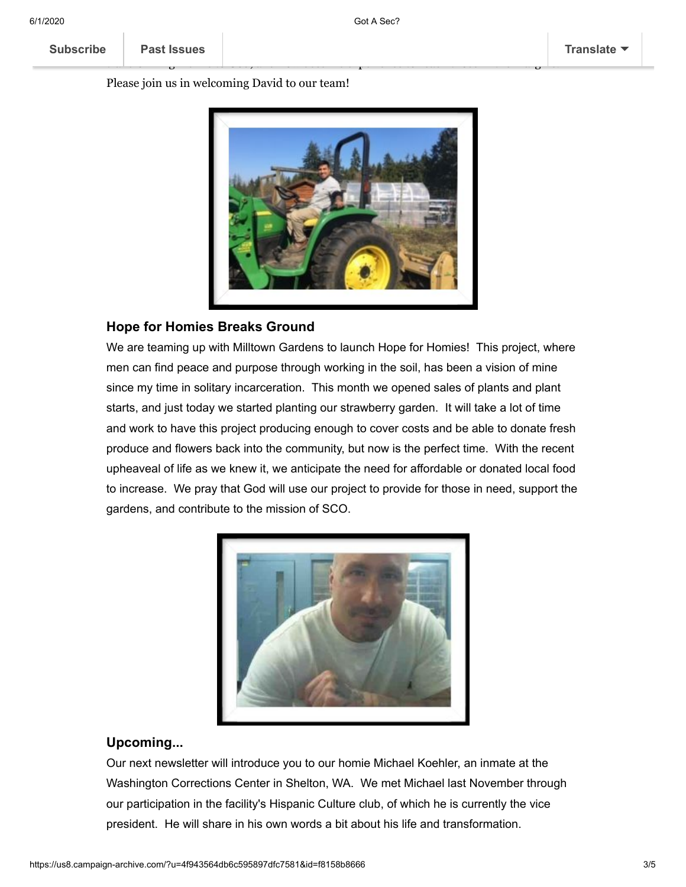transforming his life to God, and now uses his experience to reach those in the margins. Please join us in welcoming David to our team!



reference and mentoring found his way of his way of his former lifestyle through  $\mathbf{r}$ 

#### **Hope for Homies Breaks Ground**

We are teaming up with Milltown Gardens to launch Hope for Homies! This project, where men can find peace and purpose through working in the soil, has been a vision of mine since my time in solitary incarceration. This month we opened sales of plants and plant starts, and just today we started planting our strawberry garden. It will take a lot of time and work to have this project producing enough to cover costs and be able to donate fresh produce and flowers back into the community, but now is the perfect time. With the recent upheaveal of life as we knew it, we anticipate the need for affordable or donated local food to increase. We pray that God will use our project to provide for those in need, support the gardens, and contribute to the mission of SCO.



#### **Upcoming...**

Our next newsletter will introduce you to our homie Michael Koehler, an inmate at the Washington Corrections Center in Shelton, WA. We met Michael last November through our participation in the facility's Hispanic Culture club, of which he is currently the vice president. He will share in his own words a bit about his life and transformation.